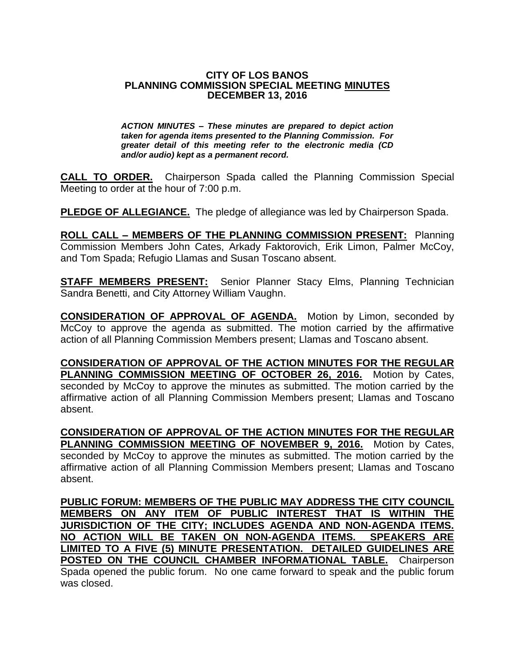## **CITY OF LOS BANOS PLANNING COMMISSION SPECIAL MEETING MINUTES DECEMBER 13, 2016**

*ACTION MINUTES – These minutes are prepared to depict action taken for agenda items presented to the Planning Commission. For greater detail of this meeting refer to the electronic media (CD and/or audio) kept as a permanent record.*

**CALL TO ORDER.** Chairperson Spada called the Planning Commission Special Meeting to order at the hour of 7:00 p.m.

**PLEDGE OF ALLEGIANCE.** The pledge of allegiance was led by Chairperson Spada.

**ROLL CALL – MEMBERS OF THE PLANNING COMMISSION PRESENT:** Planning Commission Members John Cates, Arkady Faktorovich, Erik Limon, Palmer McCoy, and Tom Spada; Refugio Llamas and Susan Toscano absent.

**STAFF MEMBERS PRESENT:** Senior Planner Stacy Elms, Planning Technician Sandra Benetti, and City Attorney William Vaughn.

**CONSIDERATION OF APPROVAL OF AGENDA.** Motion by Limon, seconded by McCoy to approve the agenda as submitted. The motion carried by the affirmative action of all Planning Commission Members present; Llamas and Toscano absent.

**CONSIDERATION OF APPROVAL OF THE ACTION MINUTES FOR THE REGULAR PLANNING COMMISSION MEETING OF OCTOBER 26, 2016.** Motion by Cates, seconded by McCoy to approve the minutes as submitted. The motion carried by the affirmative action of all Planning Commission Members present; Llamas and Toscano absent.

**CONSIDERATION OF APPROVAL OF THE ACTION MINUTES FOR THE REGULAR PLANNING COMMISSION MEETING OF NOVEMBER 9, 2016.** Motion by Cates, seconded by McCoy to approve the minutes as submitted. The motion carried by the affirmative action of all Planning Commission Members present; Llamas and Toscano absent.

**PUBLIC FORUM: MEMBERS OF THE PUBLIC MAY ADDRESS THE CITY COUNCIL MEMBERS ON ANY ITEM OF PUBLIC INTEREST THAT IS WITHIN THE JURISDICTION OF THE CITY; INCLUDES AGENDA AND NON-AGENDA ITEMS. NO ACTION WILL BE TAKEN ON NON-AGENDA ITEMS. SPEAKERS ARE LIMITED TO A FIVE (5) MINUTE PRESENTATION. DETAILED GUIDELINES ARE POSTED ON THE COUNCIL CHAMBER INFORMATIONAL TABLE.** Chairperson Spada opened the public forum. No one came forward to speak and the public forum was closed.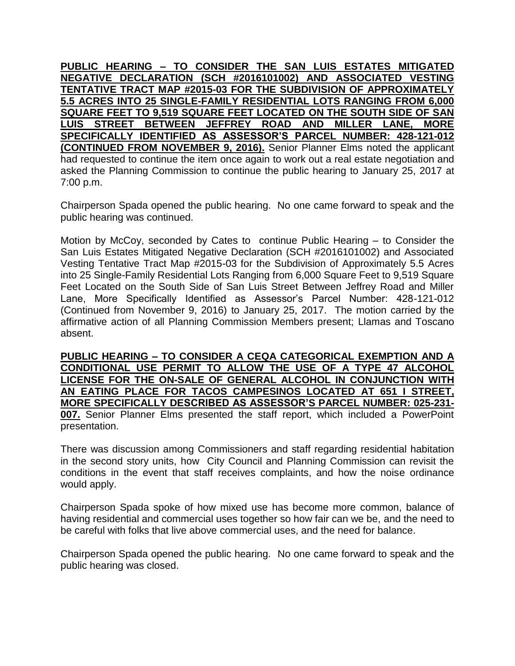**PUBLIC HEARING – TO CONSIDER THE SAN LUIS ESTATES MITIGATED NEGATIVE DECLARATION (SCH #2016101002) AND ASSOCIATED VESTING TENTATIVE TRACT MAP #2015-03 FOR THE SUBDIVISION OF APPROXIMATELY 5.5 ACRES INTO 25 SINGLE-FAMILY RESIDENTIAL LOTS RANGING FROM 6,000 SQUARE FEET TO 9,519 SQUARE FEET LOCATED ON THE SOUTH SIDE OF SAN LUIS STREET BETWEEN JEFFREY ROAD AND MILLER LANE, MORE SPECIFICALLY IDENTIFIED AS ASSESSOR'S PARCEL NUMBER: 428-121-012 (CONTINUED FROM NOVEMBER 9, 2016).** Senior Planner Elms noted the applicant had requested to continue the item once again to work out a real estate negotiation and asked the Planning Commission to continue the public hearing to January 25, 2017 at 7:00 p.m.

Chairperson Spada opened the public hearing. No one came forward to speak and the public hearing was continued.

Motion by McCoy, seconded by Cates to continue Public Hearing – to Consider the San Luis Estates Mitigated Negative Declaration (SCH #2016101002) and Associated Vesting Tentative Tract Map #2015-03 for the Subdivision of Approximately 5.5 Acres into 25 Single-Family Residential Lots Ranging from 6,000 Square Feet to 9,519 Square Feet Located on the South Side of San Luis Street Between Jeffrey Road and Miller Lane, More Specifically Identified as Assessor's Parcel Number: 428-121-012 (Continued from November 9, 2016) to January 25, 2017. The motion carried by the affirmative action of all Planning Commission Members present; Llamas and Toscano absent.

**PUBLIC HEARING – TO CONSIDER A CEQA CATEGORICAL EXEMPTION AND A CONDITIONAL USE PERMIT TO ALLOW THE USE OF A TYPE 47 ALCOHOL LICENSE FOR THE ON-SALE OF GENERAL ALCOHOL IN CONJUNCTION WITH AN EATING PLACE FOR TACOS CAMPESINOS LOCATED AT 651 I STREET, MORE SPECIFICALLY DESCRIBED AS ASSESSOR'S PARCEL NUMBER: 025-231-**

**007.** Senior Planner Elms presented the staff report, which included a PowerPoint presentation.

There was discussion among Commissioners and staff regarding residential habitation in the second story units, how City Council and Planning Commission can revisit the conditions in the event that staff receives complaints, and how the noise ordinance would apply.

Chairperson Spada spoke of how mixed use has become more common, balance of having residential and commercial uses together so how fair can we be, and the need to be careful with folks that live above commercial uses, and the need for balance.

Chairperson Spada opened the public hearing. No one came forward to speak and the public hearing was closed.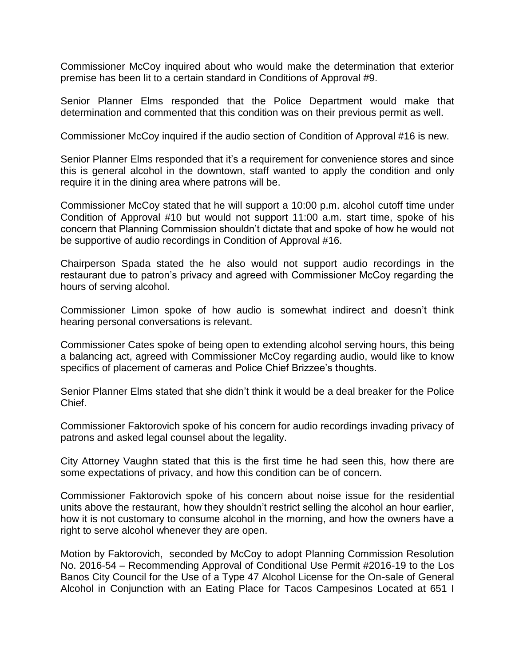Commissioner McCoy inquired about who would make the determination that exterior premise has been lit to a certain standard in Conditions of Approval #9.

Senior Planner Elms responded that the Police Department would make that determination and commented that this condition was on their previous permit as well.

Commissioner McCoy inquired if the audio section of Condition of Approval #16 is new.

Senior Planner Elms responded that it's a requirement for convenience stores and since this is general alcohol in the downtown, staff wanted to apply the condition and only require it in the dining area where patrons will be.

Commissioner McCoy stated that he will support a 10:00 p.m. alcohol cutoff time under Condition of Approval #10 but would not support 11:00 a.m. start time, spoke of his concern that Planning Commission shouldn't dictate that and spoke of how he would not be supportive of audio recordings in Condition of Approval #16.

Chairperson Spada stated the he also would not support audio recordings in the restaurant due to patron's privacy and agreed with Commissioner McCoy regarding the hours of serving alcohol.

Commissioner Limon spoke of how audio is somewhat indirect and doesn't think hearing personal conversations is relevant.

Commissioner Cates spoke of being open to extending alcohol serving hours, this being a balancing act, agreed with Commissioner McCoy regarding audio, would like to know specifics of placement of cameras and Police Chief Brizzee's thoughts.

Senior Planner Elms stated that she didn't think it would be a deal breaker for the Police Chief.

Commissioner Faktorovich spoke of his concern for audio recordings invading privacy of patrons and asked legal counsel about the legality.

City Attorney Vaughn stated that this is the first time he had seen this, how there are some expectations of privacy, and how this condition can be of concern.

Commissioner Faktorovich spoke of his concern about noise issue for the residential units above the restaurant, how they shouldn't restrict selling the alcohol an hour earlier, how it is not customary to consume alcohol in the morning, and how the owners have a right to serve alcohol whenever they are open.

Motion by Faktorovich, seconded by McCoy to adopt Planning Commission Resolution No. 2016-54 – Recommending Approval of Conditional Use Permit #2016-19 to the Los Banos City Council for the Use of a Type 47 Alcohol License for the On-sale of General Alcohol in Conjunction with an Eating Place for Tacos Campesinos Located at 651 I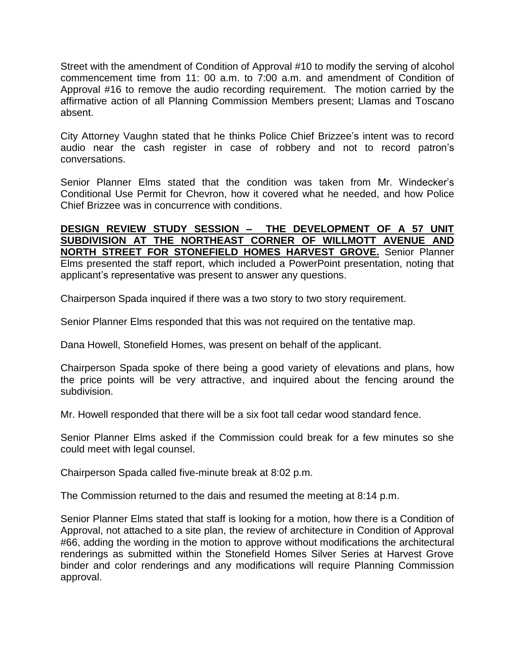Street with the amendment of Condition of Approval #10 to modify the serving of alcohol commencement time from 11: 00 a.m. to 7:00 a.m. and amendment of Condition of Approval #16 to remove the audio recording requirement. The motion carried by the affirmative action of all Planning Commission Members present; Llamas and Toscano absent.

City Attorney Vaughn stated that he thinks Police Chief Brizzee's intent was to record audio near the cash register in case of robbery and not to record patron's conversations.

Senior Planner Elms stated that the condition was taken from Mr. Windecker's Conditional Use Permit for Chevron, how it covered what he needed, and how Police Chief Brizzee was in concurrence with conditions.

## **DESIGN REVIEW STUDY SESSION – THE DEVELOPMENT OF A 57 UNIT SUBDIVISION AT THE NORTHEAST CORNER OF WILLMOTT AVENUE AND NORTH STREET FOR STONEFIELD HOMES HARVEST GROVE.** Senior Planner Elms presented the staff report, which included a PowerPoint presentation, noting that applicant's representative was present to answer any questions.

Chairperson Spada inquired if there was a two story to two story requirement.

Senior Planner Elms responded that this was not required on the tentative map.

Dana Howell, Stonefield Homes, was present on behalf of the applicant.

Chairperson Spada spoke of there being a good variety of elevations and plans, how the price points will be very attractive, and inquired about the fencing around the subdivision.

Mr. Howell responded that there will be a six foot tall cedar wood standard fence.

Senior Planner Elms asked if the Commission could break for a few minutes so she could meet with legal counsel.

Chairperson Spada called five-minute break at 8:02 p.m.

The Commission returned to the dais and resumed the meeting at 8:14 p.m.

Senior Planner Elms stated that staff is looking for a motion, how there is a Condition of Approval, not attached to a site plan, the review of architecture in Condition of Approval #66, adding the wording in the motion to approve without modifications the architectural renderings as submitted within the Stonefield Homes Silver Series at Harvest Grove binder and color renderings and any modifications will require Planning Commission approval.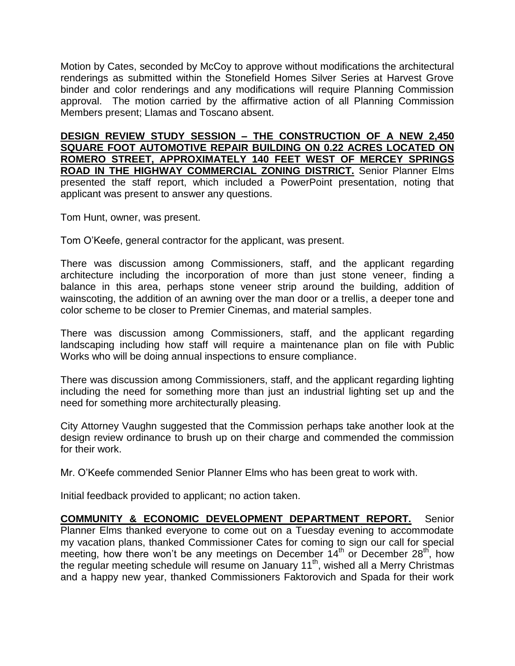Motion by Cates, seconded by McCoy to approve without modifications the architectural renderings as submitted within the Stonefield Homes Silver Series at Harvest Grove binder and color renderings and any modifications will require Planning Commission approval. The motion carried by the affirmative action of all Planning Commission Members present; Llamas and Toscano absent.

**DESIGN REVIEW STUDY SESSION – THE CONSTRUCTION OF A NEW 2,450 SQUARE FOOT AUTOMOTIVE REPAIR BUILDING ON 0.22 ACRES LOCATED ON ROMERO STREET, APPROXIMATELY 140 FEET WEST OF MERCEY SPRINGS ROAD IN THE HIGHWAY COMMERCIAL ZONING DISTRICT.** Senior Planner Elms presented the staff report, which included a PowerPoint presentation, noting that applicant was present to answer any questions.

Tom Hunt, owner, was present.

Tom O'Keefe, general contractor for the applicant, was present.

There was discussion among Commissioners, staff, and the applicant regarding architecture including the incorporation of more than just stone veneer, finding a balance in this area, perhaps stone veneer strip around the building, addition of wainscoting, the addition of an awning over the man door or a trellis, a deeper tone and color scheme to be closer to Premier Cinemas, and material samples.

There was discussion among Commissioners, staff, and the applicant regarding landscaping including how staff will require a maintenance plan on file with Public Works who will be doing annual inspections to ensure compliance.

There was discussion among Commissioners, staff, and the applicant regarding lighting including the need for something more than just an industrial lighting set up and the need for something more architecturally pleasing.

City Attorney Vaughn suggested that the Commission perhaps take another look at the design review ordinance to brush up on their charge and commended the commission for their work.

Mr. O'Keefe commended Senior Planner Elms who has been great to work with.

Initial feedback provided to applicant; no action taken.

**COMMUNITY & ECONOMIC DEVELOPMENT DEPARTMENT REPORT.** Senior Planner Elms thanked everyone to come out on a Tuesday evening to accommodate my vacation plans, thanked Commissioner Cates for coming to sign our call for special meeting, how there won't be any meetings on December  $14<sup>th</sup>$  or December 28<sup>th</sup>, how the regular meeting schedule will resume on January 11<sup>th</sup>, wished all a Merry Christmas and a happy new year, thanked Commissioners Faktorovich and Spada for their work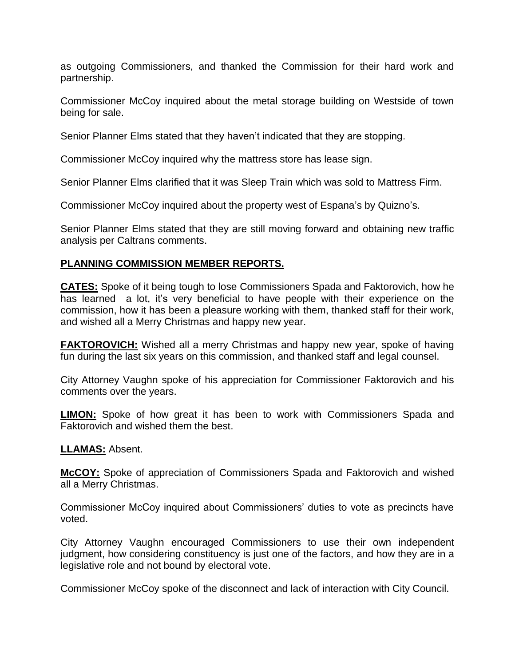as outgoing Commissioners, and thanked the Commission for their hard work and partnership.

Commissioner McCoy inquired about the metal storage building on Westside of town being for sale.

Senior Planner Elms stated that they haven't indicated that they are stopping.

Commissioner McCoy inquired why the mattress store has lease sign.

Senior Planner Elms clarified that it was Sleep Train which was sold to Mattress Firm.

Commissioner McCoy inquired about the property west of Espana's by Quizno's.

Senior Planner Elms stated that they are still moving forward and obtaining new traffic analysis per Caltrans comments.

## **PLANNING COMMISSION MEMBER REPORTS.**

**CATES:** Spoke of it being tough to lose Commissioners Spada and Faktorovich, how he has learned a lot, it's very beneficial to have people with their experience on the commission, how it has been a pleasure working with them, thanked staff for their work, and wished all a Merry Christmas and happy new year.

**FAKTOROVICH:** Wished all a merry Christmas and happy new year, spoke of having fun during the last six years on this commission, and thanked staff and legal counsel.

City Attorney Vaughn spoke of his appreciation for Commissioner Faktorovich and his comments over the years.

**LIMON:** Spoke of how great it has been to work with Commissioners Spada and Faktorovich and wished them the best.

**LLAMAS:** Absent.

**McCOY:** Spoke of appreciation of Commissioners Spada and Faktorovich and wished all a Merry Christmas.

Commissioner McCoy inquired about Commissioners' duties to vote as precincts have voted.

City Attorney Vaughn encouraged Commissioners to use their own independent judgment, how considering constituency is just one of the factors, and how they are in a legislative role and not bound by electoral vote.

Commissioner McCoy spoke of the disconnect and lack of interaction with City Council.